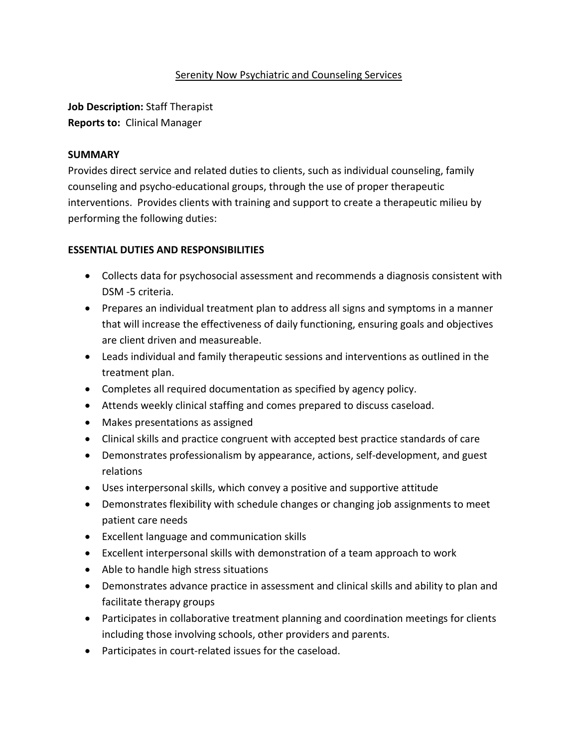#### Serenity Now Psychiatric and Counseling Services

**Job Description:** Staff Therapist **Reports to:** Clinical Manager

#### **SUMMARY**

Provides direct service and related duties to clients, such as individual counseling, family counseling and psycho-educational groups, through the use of proper therapeutic interventions. Provides clients with training and support to create a therapeutic milieu by performing the following duties:

#### **ESSENTIAL DUTIES AND RESPONSIBILITIES**

- Collects data for psychosocial assessment and recommends a diagnosis consistent with DSM -5 criteria.
- Prepares an individual treatment plan to address all signs and symptoms in a manner that will increase the effectiveness of daily functioning, ensuring goals and objectives are client driven and measureable.
- Leads individual and family therapeutic sessions and interventions as outlined in the treatment plan.
- Completes all required documentation as specified by agency policy.
- Attends weekly clinical staffing and comes prepared to discuss caseload.
- Makes presentations as assigned
- Clinical skills and practice congruent with accepted best practice standards of care
- Demonstrates professionalism by appearance, actions, self-development, and guest relations
- Uses interpersonal skills, which convey a positive and supportive attitude
- Demonstrates flexibility with schedule changes or changing job assignments to meet patient care needs
- Excellent language and communication skills
- Excellent interpersonal skills with demonstration of a team approach to work
- Able to handle high stress situations
- Demonstrates advance practice in assessment and clinical skills and ability to plan and facilitate therapy groups
- Participates in collaborative treatment planning and coordination meetings for clients including those involving schools, other providers and parents.
- Participates in court-related issues for the caseload.